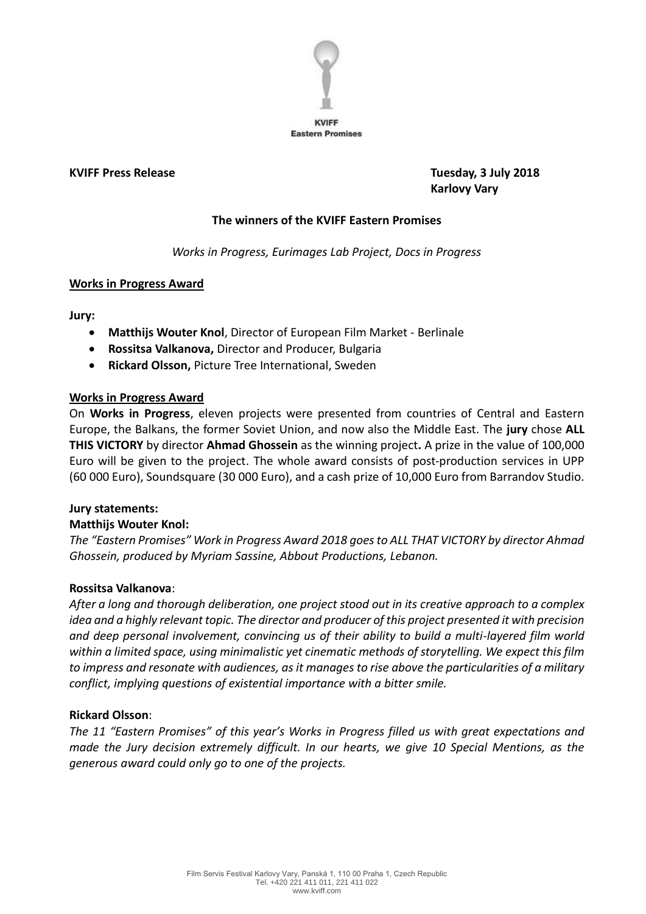

**KVIFF Press Release Tuesday, 3 July 2018 Karlovy Vary**

## **The winners of the KVIFF Eastern Promises**

*Works in Progress, Eurimages Lab Project, Docs in Progress*

## **Works in Progress Award**

**Jury:**

- **Matthijs Wouter Knol**, Director of European Film Market Berlinale
- **Rossitsa Valkanova,** Director and Producer, Bulgaria
- **Rickard Olsson,** Picture Tree International, Sweden

## **Works in Progress Award**

On **Works in Progress**, eleven projects were presented from countries of Central and Eastern Europe, the Balkans, the former Soviet Union, and now also the Middle East. The **jury** chose **ALL THIS VICTORY** by director **Ahmad Ghossein** as the winning project**.** A prize in the value of 100,000 Euro will be given to the project. The whole award consists of post-production services in UPP (60 000 Euro), Soundsquare (30 000 Euro), and a cash prize of 10,000 Euro from Barrandov Studio.

## **Jury statements:**

## **Matthijs Wouter Knol:**

*The "Eastern Promises" Work in Progress Award 2018 goes to ALL THAT VICTORY by director Ahmad Ghossein, produced by Myriam Sassine, Abbout Productions, Lebanon.*

## **Rossitsa Valkanova**:

*After a long and thorough deliberation, one project stood out in its creative approach to a complex idea and a highly relevant topic. The director and producer of this project presented it with precision and deep personal involvement, convincing us of their ability to build a multi-layered film world within a limited space, using minimalistic yet cinematic methods of storytelling. We expect this film to impress and resonate with audiences, as it manages to rise above the particularities of a military conflict, implying questions of existential importance with a bitter smile.*

## **Rickard Olsson**:

*The 11 "Eastern Promises" of this year's Works in Progress filled us with great expectations and made the Jury decision extremely difficult. In our hearts, we give 10 Special Mentions, as the generous award could only go to one of the projects.*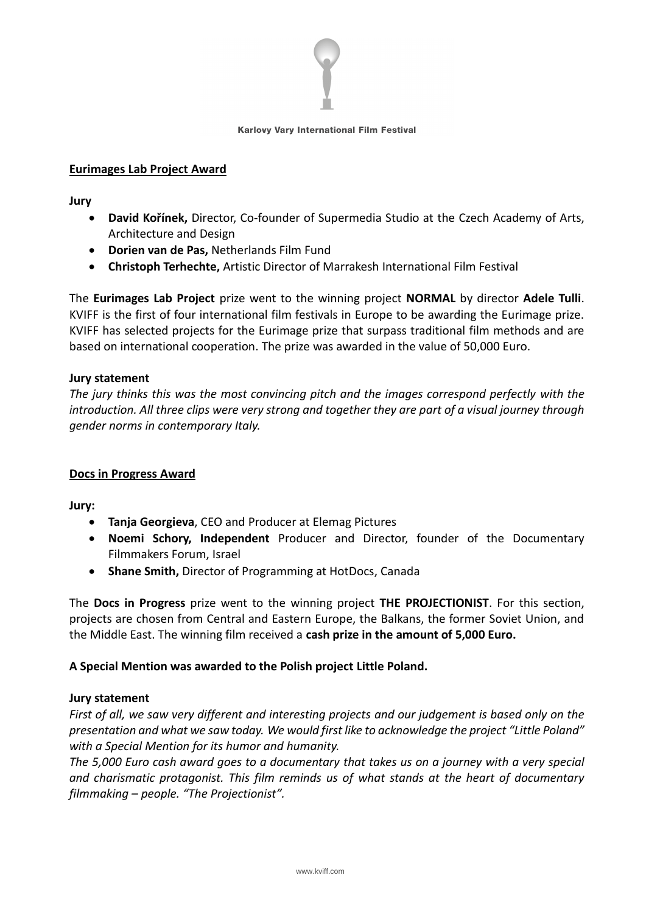

#### Karlovy Vary International Film Festival

## **Eurimages Lab Project Award**

**Jury**

- **David Kořínek,** Director, Co-founder of Supermedia Studio at the Czech Academy of Arts, Architecture and Design
- **Dorien van de Pas,** Netherlands Film Fund
- **Christoph Terhechte,** Artistic Director of Marrakesh International Film Festival

The **Eurimages Lab Project** prize went to the winning project **NORMAL** by director **Adele Tulli**. KVIFF is the first of four international film festivals in Europe to be awarding the Eurimage prize. KVIFF has selected projects for the Eurimage prize that surpass traditional film methods and are based on international cooperation. The prize was awarded in the value of 50,000 Euro.

## **Jury statement**

*The jury thinks this was the most convincing pitch and the images correspond perfectly with the introduction. All three clips were very strong and together they are part of a visual journey through gender norms in contemporary Italy.*

## **Docs in Progress Award**

**Jury:**

- **Tanja Georgieva**, CEO and Producer at Elemag Pictures
- **Noemi Schory, Independent** Producer and Director, founder of the Documentary Filmmakers Forum, Israel
- **Shane Smith,** Director of Programming at HotDocs, Canada

The **Docs in Progress** prize went to the winning project **THE PROJECTIONIST**. For this section, projects are chosen from Central and Eastern Europe, the Balkans, the former Soviet Union, and the Middle East. The winning film received a **cash prize in the amount of 5,000 Euro.** 

## **A Special Mention was awarded to the Polish project Little Poland.**

## **Jury statement**

*First of all, we saw very different and interesting projects and our judgement is based only on the presentation and what we saw today. We would first like to acknowledge the project "Little Poland" with a Special Mention for its humor and humanity.*

*The 5,000 Euro cash award goes to a documentary that takes us on a journey with a very special and charismatic protagonist. This film reminds us of what stands at the heart of documentary filmmaking – people. "The Projectionist".*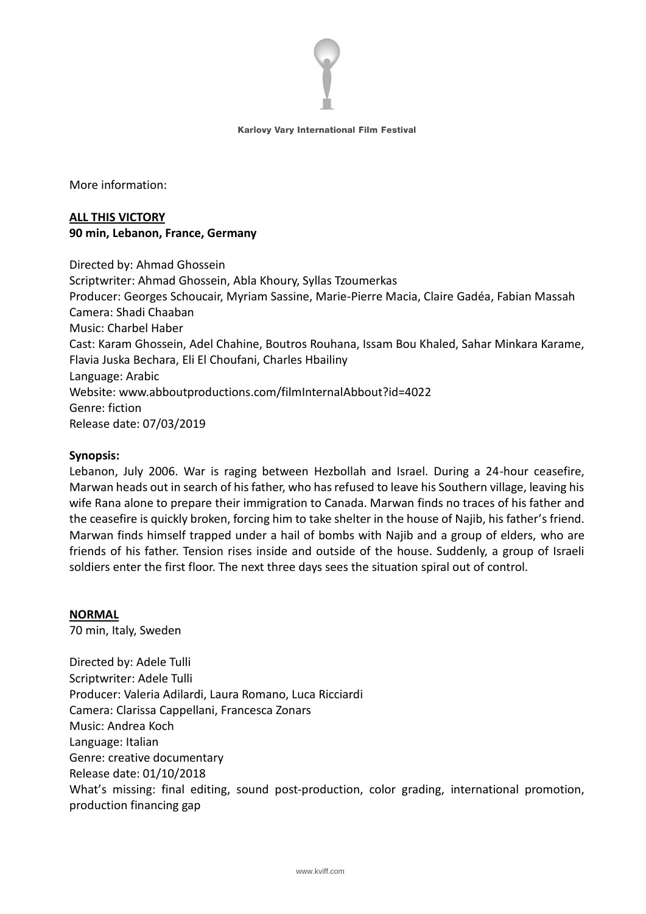

#### Karlovy Vary International Film Festival

More information:

# **ALL THIS VICTORY 90 min, Lebanon, France, Germany**

Directed by: Ahmad Ghossein Scriptwriter: Ahmad Ghossein, Abla Khoury, Syllas Tzoumerkas Producer: Georges Schoucair, Myriam Sassine, Marie-Pierre Macia, Claire Gadéa, Fabian Massah Camera: Shadi Chaaban Music: Charbel Haber Cast: Karam Ghossein, Adel Chahine, Boutros Rouhana, Issam Bou Khaled, Sahar Minkara Karame, Flavia Juska Bechara, Eli El Choufani, Charles Hbailiny Language: Arabic Website: www.abboutproductions.com/filmInternalAbbout?id=4022 Genre: fiction Release date: 07/03/2019

## **Synopsis:**

Lebanon, July 2006. War is raging between Hezbollah and Israel. During a 24-hour ceasefire, Marwan heads out in search of his father, who has refused to leave his Southern village, leaving his wife Rana alone to prepare their immigration to Canada. Marwan finds no traces of his father and the ceasefire is quickly broken, forcing him to take shelter in the house of Najib, his father's friend. Marwan finds himself trapped under a hail of bombs with Najib and a group of elders, who are friends of his father. Tension rises inside and outside of the house. Suddenly, a group of Israeli soldiers enter the first floor. The next three days sees the situation spiral out of control.

## **NORMAL**

70 min, Italy, Sweden

Directed by: Adele Tulli Scriptwriter: Adele Tulli Producer: Valeria Adilardi, Laura Romano, Luca Ricciardi Camera: Clarissa Cappellani, Francesca Zonars Music: Andrea Koch Language: Italian Genre: creative documentary Release date: 01/10/2018 What's missing: final editing, sound post-production, color grading, international promotion, production financing gap